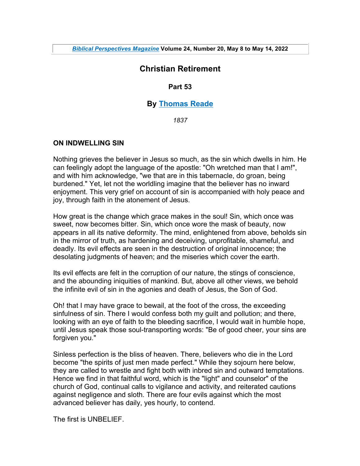# **Christian Retirement**

## **Part 53**

# **By Thomas Reade**

*1837*

## **ON INDWELLING SIN**

Nothing grieves the believer in Jesus so much, as the sin which dwells in him. He can feelingly adopt the language of the apostle: "Oh wretched man that I am!", and with him acknowledge, "we that are in this tabernacle, do groan, being burdened." Yet, let not the worldling imagine that the believer has no inward enjoyment. This very grief on account of sin is accompanied with holy peace and joy, through faith in the atonement of Jesus.

How great is the change which grace makes in the soul! Sin, which once was sweet, now becomes bitter. Sin, which once wore the mask of beauty, now appears in all its native deformity. The mind, enlightened from above, beholds sin in the mirror of truth, as hardening and deceiving, unprofitable, shameful, and deadly. Its evil effects are seen in the destruction of original innocence; the desolating judgments of heaven; and the miseries which cover the earth.

Its evil effects are felt in the corruption of our nature, the stings of conscience, and the abounding iniquities of mankind. But, above all other views, we behold the infinite evil of sin in the agonies and death of Jesus, the Son of God.

Oh! that I may have grace to bewail, at the foot of the cross, the exceeding sinfulness of sin. There I would confess both my guilt and pollution; and there, looking with an eye of faith to the bleeding sacrifice, I would wait in humble hope, until Jesus speak those soul-transporting words: "Be of good cheer, your sins are forgiven you."

Sinless perfection is the bliss of heaven. There, believers who die in the Lord become "the spirits of just men made perfect." While they sojourn here below, they are called to wrestle and fight both with inbred sin and outward temptations. Hence we find in that faithful word, which is the "light" and counselor" of the church of God, continual calls to vigilance and activity, and reiterated cautions against negligence and sloth. There are four evils against which the most advanced believer has daily, yes hourly, to contend.

The first is UNBELIEF.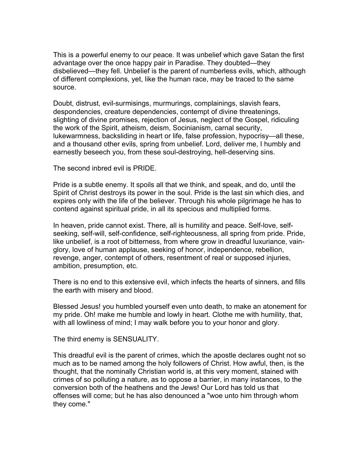This is a powerful enemy to our peace. It was unbelief which gave Satan the first advantage over the once happy pair in Paradise. They doubted—they disbelieved—they fell. Unbelief is the parent of numberless evils, which, although of different complexions, yet, like the human race, may be traced to the same source.

Doubt, distrust, evil-surmisings, murmurings, complainings, slavish fears, despondencies, creature dependencies, contempt of divine threatenings, slighting of divine promises, rejection of Jesus, neglect of the Gospel, ridiculing the work of the Spirit, atheism, deism, Socinianism, carnal security, lukewarmness, backsliding in heart or life, false profession, hypocrisy—all these, and a thousand other evils, spring from unbelief. Lord, deliver me, I humbly and earnestly beseech you, from these soul-destroying, hell-deserving sins.

The second inbred evil is PRIDE.

Pride is a subtle enemy. It spoils all that we think, and speak, and do, until the Spirit of Christ destroys its power in the soul. Pride is the last sin which dies, and expires only with the life of the believer. Through his whole pilgrimage he has to contend against spiritual pride, in all its specious and multiplied forms.

In heaven, pride cannot exist. There, all is humility and peace. Self-love, selfseeking, self-will, self-confidence, self-righteousness, all spring from pride. Pride, like unbelief, is a root of bitterness, from where grow in dreadful luxuriance, vainglory, love of human applause, seeking of honor, independence, rebellion, revenge, anger, contempt of others, resentment of real or supposed injuries, ambition, presumption, etc.

There is no end to this extensive evil, which infects the hearts of sinners, and fills the earth with misery and blood.

Blessed Jesus! you humbled yourself even unto death, to make an atonement for my pride. Oh! make me humble and lowly in heart. Clothe me with humility, that, with all lowliness of mind; I may walk before you to your honor and glory.

The third enemy is SENSUALITY.

This dreadful evil is the parent of crimes, which the apostle declares ought not so much as to be named among the holy followers of Christ. How awful, then, is the thought, that the nominally Christian world is, at this very moment, stained with crimes of so polluting a nature, as to oppose a barrier, in many instances, to the conversion both of the heathens and the Jews! Our Lord has told us that offenses will come; but he has also denounced a "woe unto him through whom they come."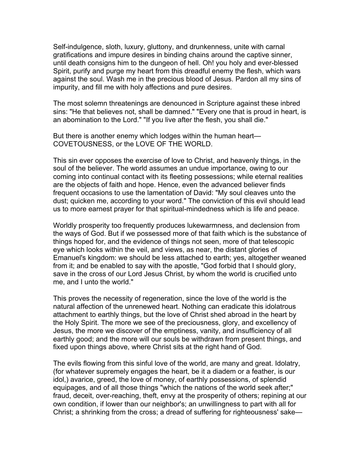Self-indulgence, sloth, luxury, gluttony, and drunkenness, unite with carnal gratifications and impure desires in binding chains around the captive sinner, until death consigns him to the dungeon of hell. Oh! you holy and ever-blessed Spirit, purify and purge my heart from this dreadful enemy the flesh, which wars against the soul. Wash me in the precious blood of Jesus. Pardon all my sins of impurity, and fill me with holy affections and pure desires.

The most solemn threatenings are denounced in Scripture against these inbred sins: "He that believes not, shall be damned." "Every one that is proud in heart, is an abomination to the Lord." "If you live after the flesh, you shall die."

But there is another enemy which lodges within the human heart— COVETOUSNESS, or the LOVE OF THE WORLD.

This sin ever opposes the exercise of love to Christ, and heavenly things, in the soul of the believer. The world assumes an undue importance, owing to our coming into continual contact with its fleeting possessions; while eternal realities are the objects of faith and hope. Hence, even the advanced believer finds frequent occasions to use the lamentation of David: "My soul cleaves unto the dust; quicken me, according to your word." The conviction of this evil should lead us to more earnest prayer for that spiritual-mindedness which is life and peace.

Worldly prosperity too frequently produces lukewarmness, and declension from the ways of God. But if we possessed more of that faith which is the substance of things hoped for, and the evidence of things not seen, more of that telescopic eye which looks within the veil, and views, as near, the distant glories of Emanuel's kingdom: we should be less attached to earth; yes, altogether weaned from it; and be enabled to say with the apostle, "God forbid that I should glory, save in the cross of our Lord Jesus Christ, by whom the world is crucified unto me, and I unto the world."

This proves the necessity of regeneration, since the love of the world is the natural affection of the unrenewed heart. Nothing can eradicate this idolatrous attachment to earthly things, but the love of Christ shed abroad in the heart by the Holy Spirit. The more we see of the preciousness, glory, and excellency of Jesus, the more we discover of the emptiness, vanity, and insufficiency of all earthly good; and the more will our souls be withdrawn from present things, and fixed upon things above, where Christ sits at the right hand of God.

The evils flowing from this sinful love of the world, are many and great. Idolatry, (for whatever supremely engages the heart, be it a diadem or a feather, is our idol,) avarice, greed, the love of money, of earthly possessions, of splendid equipages, and of all those things "which the nations of the world seek after;" fraud, deceit, over-reaching, theft, envy at the prosperity of others; repining at our own condition, if lower than our neighbor's; an unwillingness to part with all for Christ; a shrinking from the cross; a dread of suffering for righteousness' sake—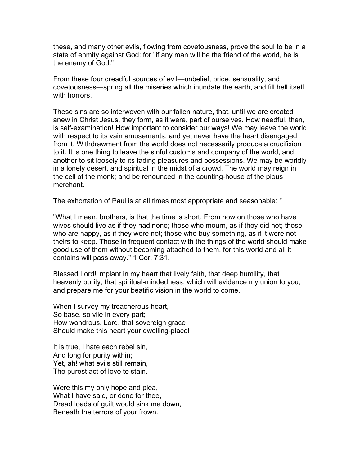these, and many other evils, flowing from covetousness, prove the soul to be in a state of enmity against God: for "if any man will be the friend of the world, he is the enemy of God."

From these four dreadful sources of evil—unbelief, pride, sensuality, and covetousness—spring all the miseries which inundate the earth, and fill hell itself with horrors.

These sins are so interwoven with our fallen nature, that, until we are created anew in Christ Jesus, they form, as it were, part of ourselves. How needful, then, is self-examination! How important to consider our ways! We may leave the world with respect to its vain amusements, and yet never have the heart disengaged from it. Withdrawment from the world does not necessarily produce a crucifixion to it. It is one thing to leave the sinful customs and company of the world, and another to sit loosely to its fading pleasures and possessions. We may be worldly in a lonely desert, and spiritual in the midst of a crowd. The world may reign in the cell of the monk; and be renounced in the counting-house of the pious merchant.

The exhortation of Paul is at all times most appropriate and seasonable: "

"What I mean, brothers, is that the time is short. From now on those who have wives should live as if they had none; those who mourn, as if they did not; those who are happy, as if they were not; those who buy something, as if it were not theirs to keep. Those in frequent contact with the things of the world should make good use of them without becoming attached to them, for this world and all it contains will pass away." 1 Cor. 7:31.

Blessed Lord! implant in my heart that lively faith, that deep humility, that heavenly purity, that spiritual-mindedness, which will evidence my union to you, and prepare me for your beatific vision in the world to come.

When I survey my treacherous heart, So base, so vile in every part; How wondrous, Lord, that sovereign grace Should make this heart your dwelling-place!

It is true, I hate each rebel sin, And long for purity within; Yet, ah! what evils still remain, The purest act of love to stain.

Were this my only hope and plea, What I have said, or done for thee. Dread loads of guilt would sink me down, Beneath the terrors of your frown.